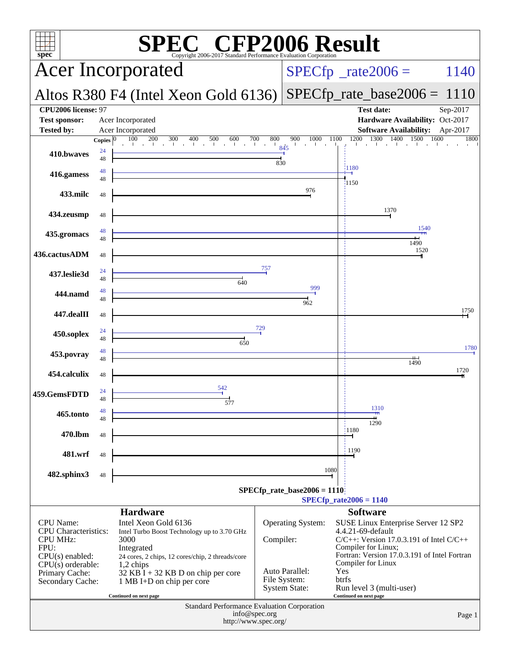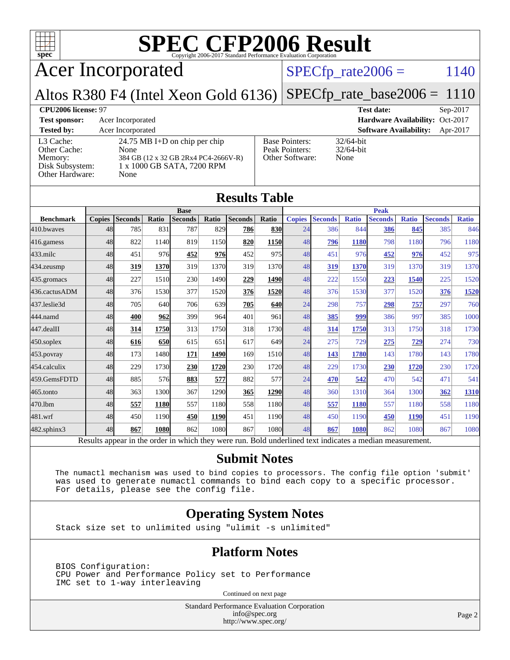

Acer Incorporated

## $SPECfp_rate2006 = 1140$  $SPECfp_rate2006 = 1140$

Altos R380 F4 (Intel Xeon Gold 6136)  $SPECfp\_rate\_base2006 = 1110$ 

### **[CPU2006 license:](http://www.spec.org/auto/cpu2006/Docs/result-fields.html#CPU2006license)** 97 **[Test date:](http://www.spec.org/auto/cpu2006/Docs/result-fields.html#Testdate)** Sep-2017 **[Test sponsor:](http://www.spec.org/auto/cpu2006/Docs/result-fields.html#Testsponsor)** Acer Incorporated **[Hardware Availability:](http://www.spec.org/auto/cpu2006/Docs/result-fields.html#HardwareAvailability)** Oct-2017 **[Tested by:](http://www.spec.org/auto/cpu2006/Docs/result-fields.html#Testedby)** Acer Incorporated **[Software Availability:](http://www.spec.org/auto/cpu2006/Docs/result-fields.html#SoftwareAvailability)** Apr-2017 [L3 Cache:](http://www.spec.org/auto/cpu2006/Docs/result-fields.html#L3Cache) 24.75 MB I+D on chip per chip<br>Other Cache: None [Other Cache:](http://www.spec.org/auto/cpu2006/Docs/result-fields.html#OtherCache) [Memory:](http://www.spec.org/auto/cpu2006/Docs/result-fields.html#Memory) 384 GB (12 x 32 GB 2Rx4 PC4-2666V-R) [Disk Subsystem:](http://www.spec.org/auto/cpu2006/Docs/result-fields.html#DiskSubsystem) 1 x 1000 GB SATA, 7200 RPM [Other Hardware:](http://www.spec.org/auto/cpu2006/Docs/result-fields.html#OtherHardware) None [Base Pointers:](http://www.spec.org/auto/cpu2006/Docs/result-fields.html#BasePointers) 32/64-bit<br>Peak Pointers: 32/64-bit [Peak Pointers:](http://www.spec.org/auto/cpu2006/Docs/result-fields.html#PeakPointers) [Other Software:](http://www.spec.org/auto/cpu2006/Docs/result-fields.html#OtherSoftware) None

| <b>Results Table</b> |               |                                                                                                          |       |                |             |                |       |               |                |              |                |              |                |              |
|----------------------|---------------|----------------------------------------------------------------------------------------------------------|-------|----------------|-------------|----------------|-------|---------------|----------------|--------------|----------------|--------------|----------------|--------------|
|                      | <b>Base</b>   |                                                                                                          |       |                |             |                |       | <b>Peak</b>   |                |              |                |              |                |              |
| <b>Benchmark</b>     | <b>Copies</b> | <b>Seconds</b>                                                                                           | Ratio | <b>Seconds</b> | Ratio       | <b>Seconds</b> | Ratio | <b>Copies</b> | <b>Seconds</b> | <b>Ratio</b> | <b>Seconds</b> | <b>Ratio</b> | <b>Seconds</b> | <b>Ratio</b> |
| 410.bwayes           | 48            | 785                                                                                                      | 831   | 787            | 829         | 786            | 830   | 24            | 386            | 844          | 386            | 845          | 385            | 846          |
| $416$ .gamess        | 48            | 822                                                                                                      | 1140  | 819            | 1150        | 820            | 1150  | 48            | 796            | 1180         | 798            | 1180         | 796            | 1180         |
| $433$ .milc          | 48            | 451                                                                                                      | 976   | 452            | 976         | 452            | 975   | 48            | 451            | 976          | 452            | 976          | 452            | 975          |
| $434$ . zeusmp       | 48            | 319                                                                                                      | 1370  | 319            | 1370        | 319            | 1370  | 48            | 319            | 1370         | 319            | 1370         | 319            | 1370         |
| 435.gromacs          | 48            | 227                                                                                                      | 1510  | 230            | 1490        | 229            | 1490  | 48            | 222            | 1550         | 223            | 1540         | 225            | 1520         |
| 436.cactusADM        | 48            | 376                                                                                                      | 1530  | 377            | 1520        | 376            | 1520  | 48            | 376            | 1530         | 377            | 1520         | 376            | 1520         |
| 437.leslie3d         | 48            | 705                                                                                                      | 640   | 706            | 639l        | 705            | 640   | 24            | 298            | 757          | 298            | 757          | 297            | 760          |
| 444.namd             | 48            | 400                                                                                                      | 962   | 399            | 964         | 401            | 961   | 48            | 385            | 999          | 386            | 997          | 385            | 1000         |
| $447$ .dealII        | 48            | 314                                                                                                      | 1750  | 313            | 1750        | 318            | 1730  | 48            | 314            | 1750         | 313            | 1750         | 318            | 1730         |
| $450$ .soplex        | 48            | 616                                                                                                      | 650   | 615            | 651         | 617            | 649   | 24            | 275            | 729          | 275            | 729          | 274            | 730          |
| 453.povray           | 48            | 173                                                                                                      | 1480  | 171            | 1490        | 169            | 1510  | 48            | 143            | 1780         | 143            | 1780         | 143            | 1780         |
| 454.calculix         | 48            | 229                                                                                                      | 1730  | 230            | 1720        | 230            | 1720  | 48            | 229            | 1730         | 230            | 1720         | 230            | 1720         |
| 459.GemsFDTD         | 48            | 885                                                                                                      | 576   | 883            | 577         | 882            | 577   | 24            | 470            | 542          | 470            | 542          | 471            | 541          |
| $465$ .tonto         | 48            | 363                                                                                                      | 1300  | 367            | 1290        | 365            | 1290  | 48            | 360            | 1310         | 364            | 1300         | 362            | 1310         |
| 470.1bm              | 48            | 557                                                                                                      | 1180  | 557            | 1180        | 558            | 1180  | 48            | 557            | 1180         | 557            | 1180         | 558            | 1180         |
| 481.wrf              | 48            | 450                                                                                                      | 1190  | 450            | <b>1190</b> | 451            | 1190  | 48            | 450            | 1190         | 450            | <b>1190</b>  | 451            | 1190         |
| $482$ .sphinx $3$    | 48            | 867                                                                                                      | 1080  | 862            | 1080        | 867            | 1080  | 48            | 867            | 1080         | 862            | 1080         | 867            | 1080         |
|                      |               | Results appear in the order in which they were run. Bold underlined text indicates a median measurement. |       |                |             |                |       |               |                |              |                |              |                |              |

### **[Submit Notes](http://www.spec.org/auto/cpu2006/Docs/result-fields.html#SubmitNotes)**

 The numactl mechanism was used to bind copies to processors. The config file option 'submit' was used to generate numactl commands to bind each copy to a specific processor. For details, please see the config file.

### **[Operating System Notes](http://www.spec.org/auto/cpu2006/Docs/result-fields.html#OperatingSystemNotes)**

Stack size set to unlimited using "ulimit -s unlimited"

### **[Platform Notes](http://www.spec.org/auto/cpu2006/Docs/result-fields.html#PlatformNotes)**

 BIOS Configuration: CPU Power and Performance Policy set to Performance IMC set to 1-way interleaving

Continued on next page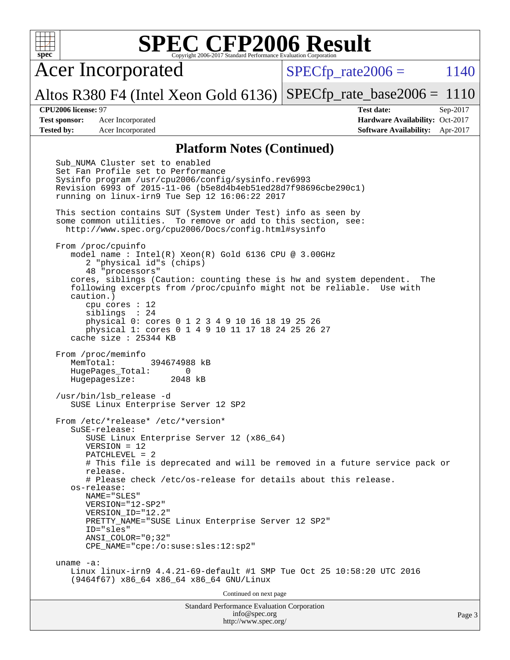Acer Incorporated

 $SPECTp\_rate2006 = 1140$ 

Altos R380 F4 (Intel Xeon Gold 6136) [SPECfp\\_rate\\_base2006 =](http://www.spec.org/auto/cpu2006/Docs/result-fields.html#SPECfpratebase2006) 1110

**[CPU2006 license:](http://www.spec.org/auto/cpu2006/Docs/result-fields.html#CPU2006license)** 97 **[Test date:](http://www.spec.org/auto/cpu2006/Docs/result-fields.html#Testdate)** Sep-2017 **[Test sponsor:](http://www.spec.org/auto/cpu2006/Docs/result-fields.html#Testsponsor)** Acer Incorporated **Acceleration Acer Incorporated <b>[Hardware Availability:](http://www.spec.org/auto/cpu2006/Docs/result-fields.html#HardwareAvailability)** Oct-2017 **[Tested by:](http://www.spec.org/auto/cpu2006/Docs/result-fields.html#Testedby)** Acer Incorporated **[Software Availability:](http://www.spec.org/auto/cpu2006/Docs/result-fields.html#SoftwareAvailability)** Apr-2017

### **[Platform Notes \(Continued\)](http://www.spec.org/auto/cpu2006/Docs/result-fields.html#PlatformNotes)**

Standard Performance Evaluation Corporation [info@spec.org](mailto:info@spec.org) Page 3 Sub NUMA Cluster set to enabled Set Fan Profile set to Performance Sysinfo program /usr/cpu2006/config/sysinfo.rev6993 Revision 6993 of 2015-11-06 (b5e8d4b4eb51ed28d7f98696cbe290c1) running on linux-irn9 Tue Sep 12 16:06:22 2017 This section contains SUT (System Under Test) info as seen by some common utilities. To remove or add to this section, see: <http://www.spec.org/cpu2006/Docs/config.html#sysinfo> From /proc/cpuinfo model name : Intel(R) Xeon(R) Gold 6136 CPU @ 3.00GHz 2 "physical id"s (chips) 48 "processors" cores, siblings (Caution: counting these is hw and system dependent. The following excerpts from /proc/cpuinfo might not be reliable. Use with caution.) cpu cores : 12 siblings : 24 physical 0: cores 0 1 2 3 4 9 10 16 18 19 25 26 physical 1: cores 0 1 4 9 10 11 17 18 24 25 26 27 cache size : 25344 KB From /proc/meminfo MemTotal: 394674988 kB HugePages\_Total: 0 Hugepagesize: 2048 kB /usr/bin/lsb\_release -d SUSE Linux Enterprise Server 12 SP2 From /etc/\*release\* /etc/\*version\* SuSE-release: SUSE Linux Enterprise Server 12 (x86\_64) VERSION = 12 PATCHLEVEL = 2 # This file is deprecated and will be removed in a future service pack or release. # Please check /etc/os-release for details about this release. os-release: NAME="SLES" VERSION="12-SP2" VERSION\_ID="12.2" PRETTY NAME="SUSE Linux Enterprise Server 12 SP2" ID="sles" ANSI\_COLOR="0;32" CPE\_NAME="cpe:/o:suse:sles:12:sp2" uname -a: Linux linux-irn9 4.4.21-69-default #1 SMP Tue Oct 25 10:58:20 UTC 2016 (9464f67) x86\_64 x86\_64 x86\_64 GNU/Linux Continued on next page

<http://www.spec.org/>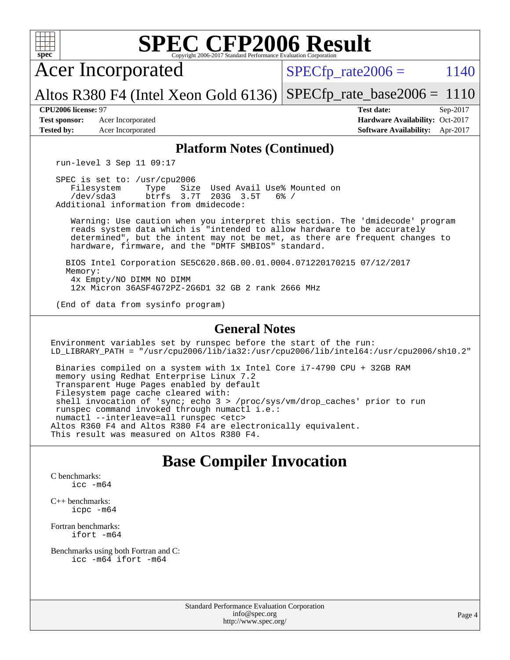

[Benchmarks using both Fortran and C](http://www.spec.org/auto/cpu2006/Docs/result-fields.html#BenchmarksusingbothFortranandC):

[icc -m64](http://www.spec.org/cpu2006/results/res2017q4/cpu2006-20170918-49399.flags.html#user_CC_FCbase_intel_icc_64bit_bda6cc9af1fdbb0edc3795bac97ada53) [ifort -m64](http://www.spec.org/cpu2006/results/res2017q4/cpu2006-20170918-49399.flags.html#user_CC_FCbase_intel_ifort_64bit_ee9d0fb25645d0210d97eb0527dcc06e)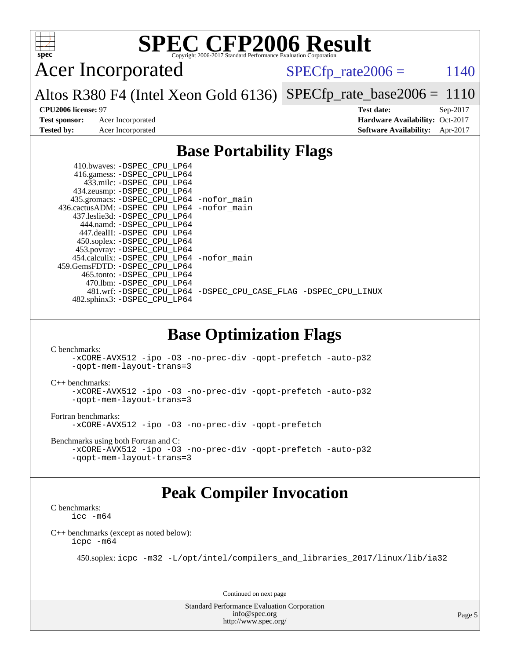

Acer Incorporated

 $SPECTp_rate2006 = 1140$ 

Altos R380 F4 (Intel Xeon Gold 6136) [SPECfp\\_rate\\_base2006 =](http://www.spec.org/auto/cpu2006/Docs/result-fields.html#SPECfpratebase2006) 1110

**[CPU2006 license:](http://www.spec.org/auto/cpu2006/Docs/result-fields.html#CPU2006license)** 97 **[Test date:](http://www.spec.org/auto/cpu2006/Docs/result-fields.html#Testdate)** Sep-2017 **[Test sponsor:](http://www.spec.org/auto/cpu2006/Docs/result-fields.html#Testsponsor)** Acer Incorporated **Acceleration Availability:** Oct-2017 **[Tested by:](http://www.spec.org/auto/cpu2006/Docs/result-fields.html#Testedby)** Acer Incorporated **[Software Availability:](http://www.spec.org/auto/cpu2006/Docs/result-fields.html#SoftwareAvailability)** Apr-2017

## **[Base Portability Flags](http://www.spec.org/auto/cpu2006/Docs/result-fields.html#BasePortabilityFlags)**

| 410.bwaves: -DSPEC CPU LP64<br>416.gamess: -DSPEC_CPU_LP64 |                                                                |
|------------------------------------------------------------|----------------------------------------------------------------|
| 433.milc: -DSPEC CPU LP64                                  |                                                                |
| 434.zeusmp: -DSPEC_CPU_LP64                                |                                                                |
| 435.gromacs: -DSPEC_CPU_LP64 -nofor_main                   |                                                                |
| 436.cactusADM: - DSPEC CPU LP64 - nofor main               |                                                                |
| 437.leslie3d: -DSPEC_CPU LP64                              |                                                                |
| 444.namd: -DSPEC CPU LP64                                  |                                                                |
| 447.dealII: -DSPEC CPU LP64                                |                                                                |
| 450.soplex: -DSPEC CPU LP64                                |                                                                |
| 453.povray: -DSPEC_CPU_LP64                                |                                                                |
| 454.calculix: - DSPEC CPU LP64 - nofor main                |                                                                |
| 459. GemsFDTD: - DSPEC CPU LP64                            |                                                                |
| 465.tonto: -DSPEC CPU LP64                                 |                                                                |
| 470.1bm: - DSPEC CPU LP64                                  |                                                                |
|                                                            | 481.wrf: -DSPEC CPU_LP64 -DSPEC_CPU_CASE_FLAG -DSPEC_CPU_LINUX |
| 482.sphinx3: -DSPEC_CPU_LP64                               |                                                                |

## **[Base Optimization Flags](http://www.spec.org/auto/cpu2006/Docs/result-fields.html#BaseOptimizationFlags)**

[C benchmarks](http://www.spec.org/auto/cpu2006/Docs/result-fields.html#Cbenchmarks):

```
-xCORE-AVX512 -ipo -O3 -no-prec-div -qopt-prefetch -auto-p32
-qopt-mem-layout-trans=3
```
[C++ benchmarks:](http://www.spec.org/auto/cpu2006/Docs/result-fields.html#CXXbenchmarks)

```
-xCORE-AVX512 -ipo -O3 -no-prec-div -qopt-prefetch -auto-p32
-qopt-mem-layout-trans=3
```
[Fortran benchmarks](http://www.spec.org/auto/cpu2006/Docs/result-fields.html#Fortranbenchmarks):

[-xCORE-AVX512](http://www.spec.org/cpu2006/results/res2017q4/cpu2006-20170918-49399.flags.html#user_FCbase_f-xCORE-AVX512) [-ipo](http://www.spec.org/cpu2006/results/res2017q4/cpu2006-20170918-49399.flags.html#user_FCbase_f-ipo) [-O3](http://www.spec.org/cpu2006/results/res2017q4/cpu2006-20170918-49399.flags.html#user_FCbase_f-O3) [-no-prec-div](http://www.spec.org/cpu2006/results/res2017q4/cpu2006-20170918-49399.flags.html#user_FCbase_f-no-prec-div) [-qopt-prefetch](http://www.spec.org/cpu2006/results/res2017q4/cpu2006-20170918-49399.flags.html#user_FCbase_f-qopt-prefetch)

[Benchmarks using both Fortran and C](http://www.spec.org/auto/cpu2006/Docs/result-fields.html#BenchmarksusingbothFortranandC):

```
-xCORE-AVX512 -ipo -O3 -no-prec-div -qopt-prefetch -auto-p32
-qopt-mem-layout-trans=3
```
## **[Peak Compiler Invocation](http://www.spec.org/auto/cpu2006/Docs/result-fields.html#PeakCompilerInvocation)**

[C benchmarks](http://www.spec.org/auto/cpu2006/Docs/result-fields.html#Cbenchmarks): [icc -m64](http://www.spec.org/cpu2006/results/res2017q4/cpu2006-20170918-49399.flags.html#user_CCpeak_intel_icc_64bit_bda6cc9af1fdbb0edc3795bac97ada53)

[C++ benchmarks \(except as noted below\):](http://www.spec.org/auto/cpu2006/Docs/result-fields.html#CXXbenchmarksexceptasnotedbelow) [icpc -m64](http://www.spec.org/cpu2006/results/res2017q4/cpu2006-20170918-49399.flags.html#user_CXXpeak_intel_icpc_64bit_fc66a5337ce925472a5c54ad6a0de310)

450.soplex: [icpc -m32 -L/opt/intel/compilers\\_and\\_libraries\\_2017/linux/lib/ia32](http://www.spec.org/cpu2006/results/res2017q4/cpu2006-20170918-49399.flags.html#user_peakCXXLD450_soplex_intel_icpc_8c35c7808b62dab9ae41a1aa06361b6b)

Continued on next page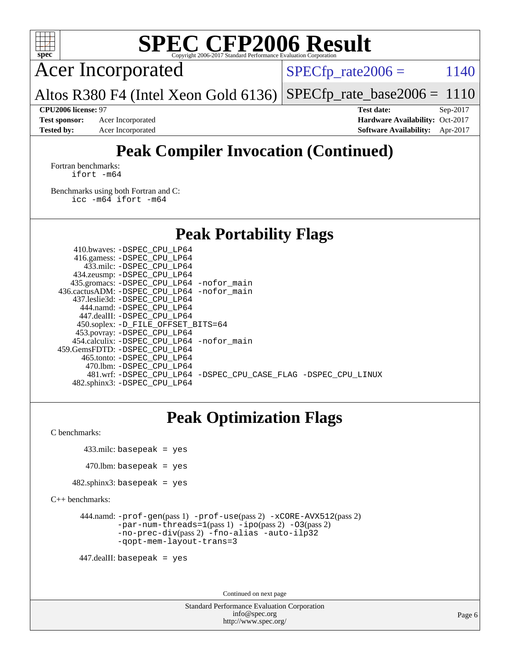

Acer Incorporated

 $SPECTp_rate2006 = 1140$ 

Altos R380 F4 (Intel Xeon Gold 6136)  $SPECTp\_rate\_base2006 = 1110$ 

**[Tested by:](http://www.spec.org/auto/cpu2006/Docs/result-fields.html#Testedby)** Acer Incorporated **[Software Availability:](http://www.spec.org/auto/cpu2006/Docs/result-fields.html#SoftwareAvailability)** Apr-2017

**[CPU2006 license:](http://www.spec.org/auto/cpu2006/Docs/result-fields.html#CPU2006license)** 97 **[Test date:](http://www.spec.org/auto/cpu2006/Docs/result-fields.html#Testdate)** Sep-2017 **[Test sponsor:](http://www.spec.org/auto/cpu2006/Docs/result-fields.html#Testsponsor)** Acer Incorporated **[Hardware Availability:](http://www.spec.org/auto/cpu2006/Docs/result-fields.html#HardwareAvailability)** Oct-2017

## **[Peak Compiler Invocation \(Continued\)](http://www.spec.org/auto/cpu2006/Docs/result-fields.html#PeakCompilerInvocation)**

[Fortran benchmarks](http://www.spec.org/auto/cpu2006/Docs/result-fields.html#Fortranbenchmarks): [ifort -m64](http://www.spec.org/cpu2006/results/res2017q4/cpu2006-20170918-49399.flags.html#user_FCpeak_intel_ifort_64bit_ee9d0fb25645d0210d97eb0527dcc06e)

[Benchmarks using both Fortran and C](http://www.spec.org/auto/cpu2006/Docs/result-fields.html#BenchmarksusingbothFortranandC): [icc -m64](http://www.spec.org/cpu2006/results/res2017q4/cpu2006-20170918-49399.flags.html#user_CC_FCpeak_intel_icc_64bit_bda6cc9af1fdbb0edc3795bac97ada53) [ifort -m64](http://www.spec.org/cpu2006/results/res2017q4/cpu2006-20170918-49399.flags.html#user_CC_FCpeak_intel_ifort_64bit_ee9d0fb25645d0210d97eb0527dcc06e)

## **[Peak Portability Flags](http://www.spec.org/auto/cpu2006/Docs/result-fields.html#PeakPortabilityFlags)**

 410.bwaves: [-DSPEC\\_CPU\\_LP64](http://www.spec.org/cpu2006/results/res2017q4/cpu2006-20170918-49399.flags.html#suite_peakPORTABILITY410_bwaves_DSPEC_CPU_LP64) 416.gamess: [-DSPEC\\_CPU\\_LP64](http://www.spec.org/cpu2006/results/res2017q4/cpu2006-20170918-49399.flags.html#suite_peakPORTABILITY416_gamess_DSPEC_CPU_LP64) 433.milc: [-DSPEC\\_CPU\\_LP64](http://www.spec.org/cpu2006/results/res2017q4/cpu2006-20170918-49399.flags.html#suite_peakPORTABILITY433_milc_DSPEC_CPU_LP64) 434.zeusmp: [-DSPEC\\_CPU\\_LP64](http://www.spec.org/cpu2006/results/res2017q4/cpu2006-20170918-49399.flags.html#suite_peakPORTABILITY434_zeusmp_DSPEC_CPU_LP64) 435.gromacs: [-DSPEC\\_CPU\\_LP64](http://www.spec.org/cpu2006/results/res2017q4/cpu2006-20170918-49399.flags.html#suite_peakPORTABILITY435_gromacs_DSPEC_CPU_LP64) [-nofor\\_main](http://www.spec.org/cpu2006/results/res2017q4/cpu2006-20170918-49399.flags.html#user_peakLDPORTABILITY435_gromacs_f-nofor_main) 436.cactusADM: [-DSPEC\\_CPU\\_LP64](http://www.spec.org/cpu2006/results/res2017q4/cpu2006-20170918-49399.flags.html#suite_peakPORTABILITY436_cactusADM_DSPEC_CPU_LP64) [-nofor\\_main](http://www.spec.org/cpu2006/results/res2017q4/cpu2006-20170918-49399.flags.html#user_peakLDPORTABILITY436_cactusADM_f-nofor_main) 437.leslie3d: [-DSPEC\\_CPU\\_LP64](http://www.spec.org/cpu2006/results/res2017q4/cpu2006-20170918-49399.flags.html#suite_peakPORTABILITY437_leslie3d_DSPEC_CPU_LP64) 444.namd: [-DSPEC\\_CPU\\_LP64](http://www.spec.org/cpu2006/results/res2017q4/cpu2006-20170918-49399.flags.html#suite_peakPORTABILITY444_namd_DSPEC_CPU_LP64) 447.dealII: [-DSPEC\\_CPU\\_LP64](http://www.spec.org/cpu2006/results/res2017q4/cpu2006-20170918-49399.flags.html#suite_peakPORTABILITY447_dealII_DSPEC_CPU_LP64) 450.soplex: [-D\\_FILE\\_OFFSET\\_BITS=64](http://www.spec.org/cpu2006/results/res2017q4/cpu2006-20170918-49399.flags.html#user_peakPORTABILITY450_soplex_file_offset_bits_64_438cf9856305ebd76870a2c6dc2689ab) 453.povray: [-DSPEC\\_CPU\\_LP64](http://www.spec.org/cpu2006/results/res2017q4/cpu2006-20170918-49399.flags.html#suite_peakPORTABILITY453_povray_DSPEC_CPU_LP64) 454.calculix: [-DSPEC\\_CPU\\_LP64](http://www.spec.org/cpu2006/results/res2017q4/cpu2006-20170918-49399.flags.html#suite_peakPORTABILITY454_calculix_DSPEC_CPU_LP64) [-nofor\\_main](http://www.spec.org/cpu2006/results/res2017q4/cpu2006-20170918-49399.flags.html#user_peakLDPORTABILITY454_calculix_f-nofor_main) 459.GemsFDTD: [-DSPEC\\_CPU\\_LP64](http://www.spec.org/cpu2006/results/res2017q4/cpu2006-20170918-49399.flags.html#suite_peakPORTABILITY459_GemsFDTD_DSPEC_CPU_LP64) 465.tonto: [-DSPEC\\_CPU\\_LP64](http://www.spec.org/cpu2006/results/res2017q4/cpu2006-20170918-49399.flags.html#suite_peakPORTABILITY465_tonto_DSPEC_CPU_LP64) 470.lbm: [-DSPEC\\_CPU\\_LP64](http://www.spec.org/cpu2006/results/res2017q4/cpu2006-20170918-49399.flags.html#suite_peakPORTABILITY470_lbm_DSPEC_CPU_LP64) 481.wrf: [-DSPEC\\_CPU\\_LP64](http://www.spec.org/cpu2006/results/res2017q4/cpu2006-20170918-49399.flags.html#suite_peakPORTABILITY481_wrf_DSPEC_CPU_LP64) [-DSPEC\\_CPU\\_CASE\\_FLAG](http://www.spec.org/cpu2006/results/res2017q4/cpu2006-20170918-49399.flags.html#b481.wrf_peakCPORTABILITY_DSPEC_CPU_CASE_FLAG) [-DSPEC\\_CPU\\_LINUX](http://www.spec.org/cpu2006/results/res2017q4/cpu2006-20170918-49399.flags.html#b481.wrf_peakCPORTABILITY_DSPEC_CPU_LINUX) 482.sphinx3: [-DSPEC\\_CPU\\_LP64](http://www.spec.org/cpu2006/results/res2017q4/cpu2006-20170918-49399.flags.html#suite_peakPORTABILITY482_sphinx3_DSPEC_CPU_LP64)

## **[Peak Optimization Flags](http://www.spec.org/auto/cpu2006/Docs/result-fields.html#PeakOptimizationFlags)**

[C benchmarks](http://www.spec.org/auto/cpu2006/Docs/result-fields.html#Cbenchmarks):

433.milc: basepeak = yes

```
470.lbm: basepeak = yes
```

```
482.sphinx3: basepeak = yes
```
[C++ benchmarks:](http://www.spec.org/auto/cpu2006/Docs/result-fields.html#CXXbenchmarks)

```
 444.namd: -prof-gen(pass 1) -prof-use(pass 2) -xCORE-AVX512(pass 2)
        -par-num-threads=1(pass 1) -ipo(pass 2) -O3(pass 2)
        -no-prec-div(pass 2) -fno-alias -auto-ilp32
        -qopt-mem-layout-trans=3
```
447.dealII: basepeak = yes

Continued on next page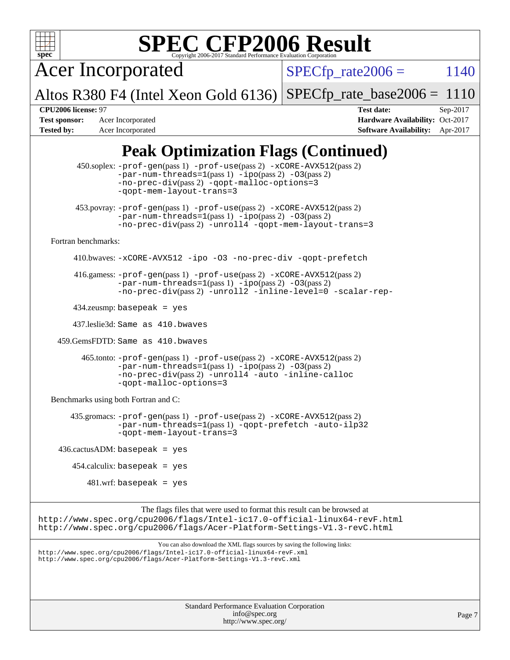

Acer Incorporated

 $SPECTp_rate2006 = 1140$ 

Altos R380 F4 (Intel Xeon Gold 6136)  $SPECfp_rate\_base2006 = 1110$ 

**[Test sponsor:](http://www.spec.org/auto/cpu2006/Docs/result-fields.html#Testsponsor)** Acer Incorporated **Acceleration Availability:** Oct-2017 **[Tested by:](http://www.spec.org/auto/cpu2006/Docs/result-fields.html#Testedby)** Acer Incorporated **[Software Availability:](http://www.spec.org/auto/cpu2006/Docs/result-fields.html#SoftwareAvailability)** Apr-2017

**[CPU2006 license:](http://www.spec.org/auto/cpu2006/Docs/result-fields.html#CPU2006license)** 97 **[Test date:](http://www.spec.org/auto/cpu2006/Docs/result-fields.html#Testdate)** Sep-2017

## **[Peak Optimization Flags \(Continued\)](http://www.spec.org/auto/cpu2006/Docs/result-fields.html#PeakOptimizationFlags)**

Standard Performance Evaluation Corporation 450.soplex: [-prof-gen](http://www.spec.org/cpu2006/results/res2017q4/cpu2006-20170918-49399.flags.html#user_peakPASS1_CXXFLAGSPASS1_LDFLAGS450_soplex_prof_gen_e43856698f6ca7b7e442dfd80e94a8fc)(pass 1) [-prof-use](http://www.spec.org/cpu2006/results/res2017q4/cpu2006-20170918-49399.flags.html#user_peakPASS2_CXXFLAGSPASS2_LDFLAGS450_soplex_prof_use_bccf7792157ff70d64e32fe3e1250b55)(pass 2) [-xCORE-AVX512](http://www.spec.org/cpu2006/results/res2017q4/cpu2006-20170918-49399.flags.html#user_peakPASS2_CXXFLAGSPASS2_LDFLAGS450_soplex_f-xCORE-AVX512)(pass 2) [-par-num-threads=1](http://www.spec.org/cpu2006/results/res2017q4/cpu2006-20170918-49399.flags.html#user_peakPASS1_CXXFLAGSPASS1_LDFLAGS450_soplex_par_num_threads_786a6ff141b4e9e90432e998842df6c2)(pass 1) [-ipo](http://www.spec.org/cpu2006/results/res2017q4/cpu2006-20170918-49399.flags.html#user_peakPASS2_CXXFLAGSPASS2_LDFLAGS450_soplex_f-ipo)(pass 2) [-O3](http://www.spec.org/cpu2006/results/res2017q4/cpu2006-20170918-49399.flags.html#user_peakPASS2_CXXFLAGSPASS2_LDFLAGS450_soplex_f-O3)(pass 2) [-no-prec-div](http://www.spec.org/cpu2006/results/res2017q4/cpu2006-20170918-49399.flags.html#user_peakPASS2_CXXFLAGSPASS2_LDFLAGS450_soplex_f-no-prec-div)(pass 2) [-qopt-malloc-options=3](http://www.spec.org/cpu2006/results/res2017q4/cpu2006-20170918-49399.flags.html#user_peakOPTIMIZE450_soplex_f-qopt-malloc-options_0fcb435012e78f27d57f473818e45fe4) [-qopt-mem-layout-trans=3](http://www.spec.org/cpu2006/results/res2017q4/cpu2006-20170918-49399.flags.html#user_peakCXXOPTIMIZE450_soplex_f-qopt-mem-layout-trans_170f5be61cd2cedc9b54468c59262d5d) 453.povray: [-prof-gen](http://www.spec.org/cpu2006/results/res2017q4/cpu2006-20170918-49399.flags.html#user_peakPASS1_CXXFLAGSPASS1_LDFLAGS453_povray_prof_gen_e43856698f6ca7b7e442dfd80e94a8fc)(pass 1) [-prof-use](http://www.spec.org/cpu2006/results/res2017q4/cpu2006-20170918-49399.flags.html#user_peakPASS2_CXXFLAGSPASS2_LDFLAGS453_povray_prof_use_bccf7792157ff70d64e32fe3e1250b55)(pass 2) [-xCORE-AVX512](http://www.spec.org/cpu2006/results/res2017q4/cpu2006-20170918-49399.flags.html#user_peakPASS2_CXXFLAGSPASS2_LDFLAGS453_povray_f-xCORE-AVX512)(pass 2)  $-par-num-threads=1(pass 1) -ipo(pass 2) -O3(pass 2)$  $-par-num-threads=1(pass 1) -ipo(pass 2) -O3(pass 2)$  $-par-num-threads=1(pass 1) -ipo(pass 2) -O3(pass 2)$  $-par-num-threads=1(pass 1) -ipo(pass 2) -O3(pass 2)$  $-par-num-threads=1(pass 1) -ipo(pass 2) -O3(pass 2)$  $-par-num-threads=1(pass 1) -ipo(pass 2) -O3(pass 2)$ [-no-prec-div](http://www.spec.org/cpu2006/results/res2017q4/cpu2006-20170918-49399.flags.html#user_peakPASS2_CXXFLAGSPASS2_LDFLAGS453_povray_f-no-prec-div)(pass 2) [-unroll4](http://www.spec.org/cpu2006/results/res2017q4/cpu2006-20170918-49399.flags.html#user_peakCXXOPTIMIZE453_povray_f-unroll_4e5e4ed65b7fd20bdcd365bec371b81f) [-qopt-mem-layout-trans=3](http://www.spec.org/cpu2006/results/res2017q4/cpu2006-20170918-49399.flags.html#user_peakCXXOPTIMIZE453_povray_f-qopt-mem-layout-trans_170f5be61cd2cedc9b54468c59262d5d) [Fortran benchmarks](http://www.spec.org/auto/cpu2006/Docs/result-fields.html#Fortranbenchmarks): 410.bwaves: [-xCORE-AVX512](http://www.spec.org/cpu2006/results/res2017q4/cpu2006-20170918-49399.flags.html#user_peakOPTIMIZE410_bwaves_f-xCORE-AVX512) [-ipo](http://www.spec.org/cpu2006/results/res2017q4/cpu2006-20170918-49399.flags.html#user_peakOPTIMIZE410_bwaves_f-ipo) [-O3](http://www.spec.org/cpu2006/results/res2017q4/cpu2006-20170918-49399.flags.html#user_peakOPTIMIZE410_bwaves_f-O3) [-no-prec-div](http://www.spec.org/cpu2006/results/res2017q4/cpu2006-20170918-49399.flags.html#user_peakOPTIMIZE410_bwaves_f-no-prec-div) [-qopt-prefetch](http://www.spec.org/cpu2006/results/res2017q4/cpu2006-20170918-49399.flags.html#user_peakOPTIMIZE410_bwaves_f-qopt-prefetch) 416.gamess: [-prof-gen](http://www.spec.org/cpu2006/results/res2017q4/cpu2006-20170918-49399.flags.html#user_peakPASS1_FFLAGSPASS1_LDFLAGS416_gamess_prof_gen_e43856698f6ca7b7e442dfd80e94a8fc)(pass 1) [-prof-use](http://www.spec.org/cpu2006/results/res2017q4/cpu2006-20170918-49399.flags.html#user_peakPASS2_FFLAGSPASS2_LDFLAGS416_gamess_prof_use_bccf7792157ff70d64e32fe3e1250b55)(pass 2) [-xCORE-AVX512](http://www.spec.org/cpu2006/results/res2017q4/cpu2006-20170918-49399.flags.html#user_peakPASS2_FFLAGSPASS2_LDFLAGS416_gamess_f-xCORE-AVX512)(pass 2)  $-$ par-num-threads=1(pass 1)  $-$ ipo(pass 2)  $-$ O3(pass 2) [-no-prec-div](http://www.spec.org/cpu2006/results/res2017q4/cpu2006-20170918-49399.flags.html#user_peakPASS2_FFLAGSPASS2_LDFLAGS416_gamess_f-no-prec-div)(pass 2) [-unroll2](http://www.spec.org/cpu2006/results/res2017q4/cpu2006-20170918-49399.flags.html#user_peakOPTIMIZE416_gamess_f-unroll_784dae83bebfb236979b41d2422d7ec2) [-inline-level=0](http://www.spec.org/cpu2006/results/res2017q4/cpu2006-20170918-49399.flags.html#user_peakOPTIMIZE416_gamess_f-inline-level_318d07a09274ad25e8d15dbfaa68ba50) [-scalar-rep-](http://www.spec.org/cpu2006/results/res2017q4/cpu2006-20170918-49399.flags.html#user_peakOPTIMIZE416_gamess_f-disablescalarrep_abbcad04450fb118e4809c81d83c8a1d) 434.zeusmp: basepeak = yes 437.leslie3d: Same as 410.bwaves 459.GemsFDTD: Same as 410.bwaves 465.tonto: [-prof-gen](http://www.spec.org/cpu2006/results/res2017q4/cpu2006-20170918-49399.flags.html#user_peakPASS1_FFLAGSPASS1_LDFLAGS465_tonto_prof_gen_e43856698f6ca7b7e442dfd80e94a8fc)(pass 1) [-prof-use](http://www.spec.org/cpu2006/results/res2017q4/cpu2006-20170918-49399.flags.html#user_peakPASS2_FFLAGSPASS2_LDFLAGS465_tonto_prof_use_bccf7792157ff70d64e32fe3e1250b55)(pass 2) [-xCORE-AVX512](http://www.spec.org/cpu2006/results/res2017q4/cpu2006-20170918-49399.flags.html#user_peakPASS2_FFLAGSPASS2_LDFLAGS465_tonto_f-xCORE-AVX512)(pass 2) [-par-num-threads=1](http://www.spec.org/cpu2006/results/res2017q4/cpu2006-20170918-49399.flags.html#user_peakPASS1_FFLAGSPASS1_LDFLAGS465_tonto_par_num_threads_786a6ff141b4e9e90432e998842df6c2)(pass 1) [-ipo](http://www.spec.org/cpu2006/results/res2017q4/cpu2006-20170918-49399.flags.html#user_peakPASS2_FFLAGSPASS2_LDFLAGS465_tonto_f-ipo)(pass 2) [-O3](http://www.spec.org/cpu2006/results/res2017q4/cpu2006-20170918-49399.flags.html#user_peakPASS2_FFLAGSPASS2_LDFLAGS465_tonto_f-O3)(pass 2) [-no-prec-div](http://www.spec.org/cpu2006/results/res2017q4/cpu2006-20170918-49399.flags.html#user_peakPASS2_FFLAGSPASS2_LDFLAGS465_tonto_f-no-prec-div)(pass 2) [-unroll4](http://www.spec.org/cpu2006/results/res2017q4/cpu2006-20170918-49399.flags.html#user_peakOPTIMIZE465_tonto_f-unroll_4e5e4ed65b7fd20bdcd365bec371b81f) [-auto](http://www.spec.org/cpu2006/results/res2017q4/cpu2006-20170918-49399.flags.html#user_peakOPTIMIZE465_tonto_f-auto) [-inline-calloc](http://www.spec.org/cpu2006/results/res2017q4/cpu2006-20170918-49399.flags.html#user_peakOPTIMIZE465_tonto_f-inline-calloc) [-qopt-malloc-options=3](http://www.spec.org/cpu2006/results/res2017q4/cpu2006-20170918-49399.flags.html#user_peakOPTIMIZE465_tonto_f-qopt-malloc-options_0fcb435012e78f27d57f473818e45fe4) [Benchmarks using both Fortran and C](http://www.spec.org/auto/cpu2006/Docs/result-fields.html#BenchmarksusingbothFortranandC): 435.gromacs: [-prof-gen](http://www.spec.org/cpu2006/results/res2017q4/cpu2006-20170918-49399.flags.html#user_peakPASS1_CFLAGSPASS1_FFLAGSPASS1_LDFLAGS435_gromacs_prof_gen_e43856698f6ca7b7e442dfd80e94a8fc)(pass 1) [-prof-use](http://www.spec.org/cpu2006/results/res2017q4/cpu2006-20170918-49399.flags.html#user_peakPASS2_CFLAGSPASS2_FFLAGSPASS2_LDFLAGS435_gromacs_prof_use_bccf7792157ff70d64e32fe3e1250b55)(pass 2) [-xCORE-AVX512](http://www.spec.org/cpu2006/results/res2017q4/cpu2006-20170918-49399.flags.html#user_peakPASS2_CFLAGSPASS2_FFLAGSPASS2_LDFLAGS435_gromacs_f-xCORE-AVX512)(pass 2) [-par-num-threads=1](http://www.spec.org/cpu2006/results/res2017q4/cpu2006-20170918-49399.flags.html#user_peakPASS1_CFLAGSPASS1_FFLAGSPASS1_LDFLAGS435_gromacs_par_num_threads_786a6ff141b4e9e90432e998842df6c2)(pass 1) [-qopt-prefetch](http://www.spec.org/cpu2006/results/res2017q4/cpu2006-20170918-49399.flags.html#user_peakOPTIMIZE435_gromacs_f-qopt-prefetch) [-auto-ilp32](http://www.spec.org/cpu2006/results/res2017q4/cpu2006-20170918-49399.flags.html#user_peakCOPTIMIZE435_gromacs_f-auto-ilp32) [-qopt-mem-layout-trans=3](http://www.spec.org/cpu2006/results/res2017q4/cpu2006-20170918-49399.flags.html#user_peakCOPTIMIZE435_gromacs_f-qopt-mem-layout-trans_170f5be61cd2cedc9b54468c59262d5d)  $436.cactusADM: basepeak = yes$  $454$ .calculix: basepeak = yes  $481$ .wrf: basepeak = yes The flags files that were used to format this result can be browsed at <http://www.spec.org/cpu2006/flags/Intel-ic17.0-official-linux64-revF.html> <http://www.spec.org/cpu2006/flags/Acer-Platform-Settings-V1.3-revC.html> You can also download the XML flags sources by saving the following links: <http://www.spec.org/cpu2006/flags/Intel-ic17.0-official-linux64-revF.xml> <http://www.spec.org/cpu2006/flags/Acer-Platform-Settings-V1.3-revC.xml>